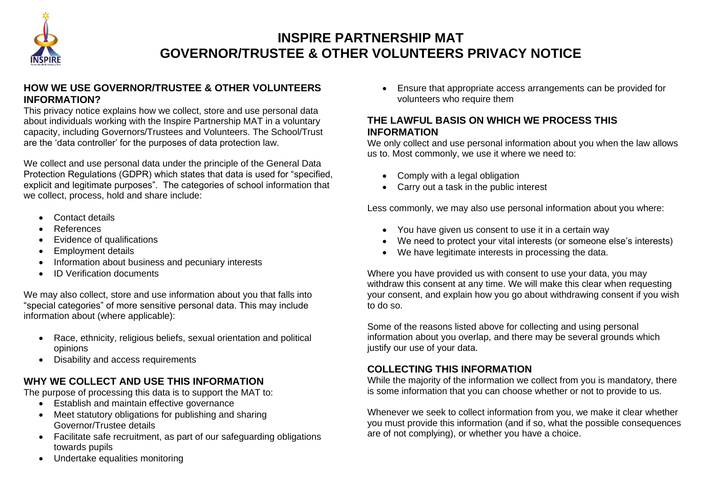

# **INSPIRE PARTNERSHIP MAT GOVERNOR/TRUSTEE & OTHER VOLUNTEERS PRIVACY NOTICE**

#### **HOW WE USE GOVERNOR/TRUSTEE & OTHER VOLUNTEERS INFORMATION?**

This privacy notice explains how we collect, store and use personal data about individuals working with the Inspire Partnership MAT in a voluntary capacity, including Governors/Trustees and Volunteers. The School/Trust are the 'data controller' for the purposes of data protection law.

We collect and use personal data under the principle of the General Data Protection Regulations (GDPR) which states that data is used for "specified, explicit and legitimate purposes". The categories of school information that we collect, process, hold and share include:

- Contact details
- References
- Evidence of qualifications
- Employment details
- Information about business and pecuniary interests
- ID Verification documents

We may also collect, store and use information about you that falls into "special categories" of more sensitive personal data. This may include information about (where applicable):

- Race, ethnicity, religious beliefs, sexual orientation and political opinions
- Disability and access requirements

# **WHY WE COLLECT AND USE THIS INFORMATION**

The purpose of processing this data is to support the MAT to:

- Establish and maintain effective governance
- Meet statutory obligations for publishing and sharing Governor/Trustee details
- Facilitate safe recruitment, as part of our safeguarding obligations towards pupils
- Undertake equalities monitoring

• Ensure that appropriate access arrangements can be provided for volunteers who require them

## **THE LAWFUL BASIS ON WHICH WE PROCESS THIS INFORMATION**

We only collect and use personal information about you when the law allows us to. Most commonly, we use it where we need to:

- Comply with a legal obligation
- Carry out a task in the public interest

Less commonly, we may also use personal information about you where:

- You have given us consent to use it in a certain way
- We need to protect your vital interests (or someone else's interests)
- We have legitimate interests in processing the data.

Where you have provided us with consent to use your data, you may withdraw this consent at any time. We will make this clear when requesting your consent, and explain how you go about withdrawing consent if you wish to do so.

Some of the reasons listed above for collecting and using personal information about you overlap, and there may be several grounds which justify our use of your data.

## **COLLECTING THIS INFORMATION**

While the majority of the information we collect from you is mandatory, there is some information that you can choose whether or not to provide to us.

Whenever we seek to collect information from you, we make it clear whether you must provide this information (and if so, what the possible consequences are of not complying), or whether you have a choice.